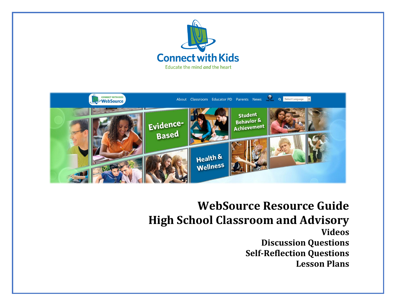



**WebSource Resource Guide High School Classroom and Advisory Videos Discussion Questions Self-Reflection Questions Lesson Plans**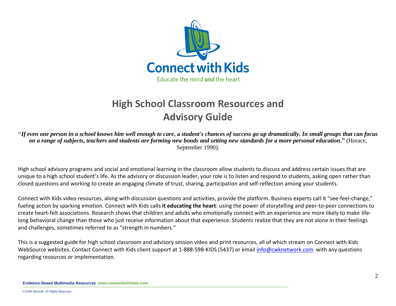

## **High School Classroom Resources and Advisory Guide**

**"***If even one person in a school knows him well enough to care***, a** *student's chances of success go up dramatically. In small groups that can focus on a range of subjects***,** *teachers and students are forming new bonds and setting new standards for a more personal education***."** (Horace, September 1990).

High school advisory programs and social and emotional learning in the classroom allow students to discuss and address certain issues that are unique to a high school student's life. As the advisory or discussion leader, your role is to listen and respond to students, asking open rather than closed questions and working to create an engaging climate of trust, sharing, participation and self-reflection among your students.

Connect with Kids video resources, along with discussion questions and activities, provide the platform. Business experts call it "see-feel-change," fueling action by sparking emotion. Connect with Kids calls **it educating the heart**: using the power of storytelling and peer-to-peer connections to create heart-felt associations. Research shows that children and adults who emotionally connect with an experience are more likely to make lifelong behavioral change than those who just receive information about that experience. Students realize that they are not alone in their feelings and challenges, sometimes referred to as "strength in numbers."

This is a suggested guide for high school classroom and advisory session video and print resources, all of which stream on Connect with Kids WebSource websites. Contact Connect with Kids client support at 1-888-598-KIDS (5437) or email [info@cwknetwork.com](mailto:info@cwknetwork.com) with any questions regarding resources or implementation.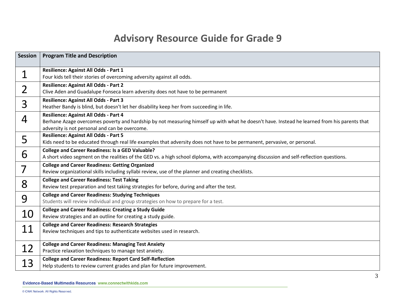### **Advisory Resource Guide for Grade 9**

| <b>Session</b> | <b>Program Title and Description</b>                                                                                                                                                           |
|----------------|------------------------------------------------------------------------------------------------------------------------------------------------------------------------------------------------|
|                | Resilience: Against All Odds - Part 1                                                                                                                                                          |
| $\mathbf 1$    | Four kids tell their stories of overcoming adversity against all odds.                                                                                                                         |
| $\overline{2}$ | Resilience: Against All Odds - Part 2                                                                                                                                                          |
|                | Clive Aden and Guadalupe Fonseca learn adversity does not have to be permanent                                                                                                                 |
| 3              | Resilience: Against All Odds - Part 3                                                                                                                                                          |
|                | Heather Bandy is blind, but doesn't let her disability keep her from succeeding in life.                                                                                                       |
| 4              | Resilience: Against All Odds - Part 4                                                                                                                                                          |
|                | Berhane Azage overcomes poverty and hardship by not measuring himself up with what he doesn't have. Instead he learned from his parents that<br>adversity is not personal and can be overcome. |
|                | Resilience: Against All Odds - Part 5                                                                                                                                                          |
| 5              | Kids need to be educated through real life examples that adversity does not have to be permanent, pervasive, or personal.                                                                      |
|                | <b>College and Career Readiness: Is a GED Valuable?</b>                                                                                                                                        |
| 6              | A short video segment on the realities of the GED vs. a high school diploma, with accompanying discussion and self-reflection questions.                                                       |
| 7              | <b>College and Career Readiness: Getting Organized</b>                                                                                                                                         |
|                | Review organizational skills including syllabi review, use of the planner and creating checklists.                                                                                             |
| 8              | <b>College and Career Readiness: Test Taking</b>                                                                                                                                               |
|                | Review test preparation and test taking strategies for before, during and after the test.                                                                                                      |
| 9              | <b>College and Career Readiness: Studying Techniques</b>                                                                                                                                       |
|                | Students will review individual and group strategies on how to prepare for a test.                                                                                                             |
| 10             | <b>College and Career Readiness: Creating a Study Guide</b>                                                                                                                                    |
|                | Review strategies and an outline for creating a study guide.                                                                                                                                   |
| 11             | <b>College and Career Readiness: Research Strategies</b><br>Review techniques and tips to authenticate websites used in research.                                                              |
|                |                                                                                                                                                                                                |
| 12             | <b>College and Career Readiness: Managing Test Anxiety</b>                                                                                                                                     |
|                | Practice relaxation techniques to manage test anxiety.                                                                                                                                         |
| 13             | <b>College and Career Readiness: Report Card Self-Reflection</b>                                                                                                                               |
|                | Help students to review current grades and plan for future improvement.                                                                                                                        |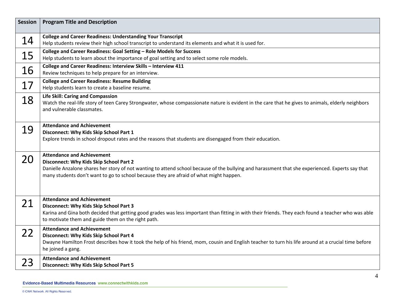| <b>Session</b> | <b>Program Title and Description</b>                                                                                                                                                                                                                                                                                       |
|----------------|----------------------------------------------------------------------------------------------------------------------------------------------------------------------------------------------------------------------------------------------------------------------------------------------------------------------------|
| 14             | <b>College and Career Readiness: Understanding Your Transcript</b><br>Help students review their high school transcript to understand its elements and what it is used for.                                                                                                                                                |
| 15             | College and Career Readiness: Goal Setting - Role Models for Success<br>Help students to learn about the importance of goal setting and to select some role models.                                                                                                                                                        |
| 16             | College and Career Readiness: Interview Skills - Interview 411<br>Review techniques to help prepare for an interview.                                                                                                                                                                                                      |
| 17             | <b>College and Career Readiness: Resume Building</b><br>Help students learn to create a baseline resume.                                                                                                                                                                                                                   |
| 18             | <b>Life Skill: Caring and Compassion</b><br>Watch the real-life story of teen Carey Strongwater, whose compassionate nature is evident in the care that he gives to animals, elderly neighbors<br>and vulnerable classmates.                                                                                               |
| 19             | <b>Attendance and Achievement</b><br>Disconnect: Why Kids Skip School Part 1<br>Explore trends in school dropout rates and the reasons that students are disengaged from their education.                                                                                                                                  |
| 20             | <b>Attendance and Achievement</b><br>Disconnect: Why Kids Skip School Part 2<br>Danielle Anzalone shares her story of not wanting to attend school because of the bullying and harassment that she experienced. Experts say that<br>many students don't want to go to school because they are afraid of what might happen. |
| 21             | <b>Attendance and Achievement</b><br><b>Disconnect: Why Kids Skip School Part 3</b><br>Karina and Gina both decided that getting good grades was less important than fitting in with their friends. They each found a teacher who was able<br>to motivate them and guide them on the right path.                           |
| 22             | <b>Attendance and Achievement</b><br>Disconnect: Why Kids Skip School Part 4<br>Dwayne Hamilton Frost describes how it took the help of his friend, mom, cousin and English teacher to turn his life around at a crucial time before<br>he joined a gang.                                                                  |
| 23             | <b>Attendance and Achievement</b><br><b>Disconnect: Why Kids Skip School Part 5</b>                                                                                                                                                                                                                                        |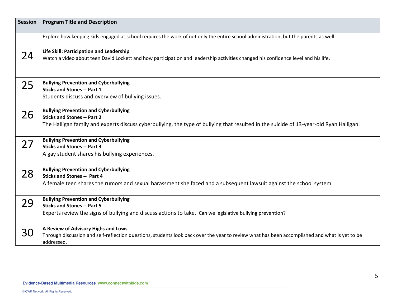| <b>Session</b> | <b>Program Title and Description</b>                                                                                                                                                                                         |
|----------------|------------------------------------------------------------------------------------------------------------------------------------------------------------------------------------------------------------------------------|
|                | Explore how keeping kids engaged at school requires the work of not only the entire school administration, but the parents as well.                                                                                          |
| 24             | Life Skill: Participation and Leadership<br>Watch a video about teen David Lockett and how participation and leadership activities changed his confidence level and his life.                                                |
| 25             | <b>Bullying Prevention and Cyberbullying</b><br><b>Sticks and Stones -- Part 1</b><br>Students discuss and overview of bullying issues.                                                                                      |
| 26             | <b>Bullying Prevention and Cyberbullying</b><br><b>Sticks and Stones -- Part 2</b><br>The Halligan family and experts discuss cyberbullying, the type of bullying that resulted in the suicide of 13-year-old Ryan Halligan. |
| 27             | <b>Bullying Prevention and Cyberbullying</b><br><b>Sticks and Stones -- Part 3</b><br>A gay student shares his bullying experiences.                                                                                         |
| 28             | <b>Bullying Prevention and Cyberbullying</b><br><b>Sticks and Stones -- Part 4</b><br>A female teen shares the rumors and sexual harassment she faced and a subsequent lawsuit against the school system.                    |
| 29             | <b>Bullying Prevention and Cyberbullying</b><br><b>Sticks and Stones -- Part 5</b><br>Experts review the signs of bullying and discuss actions to take. Can we legislative bullying prevention?                              |
| 30             | A Review of Advisory Highs and Lows<br>Through discussion and self-reflection questions, students look back over the year to review what has been accomplished and what is yet to be<br>addressed.                           |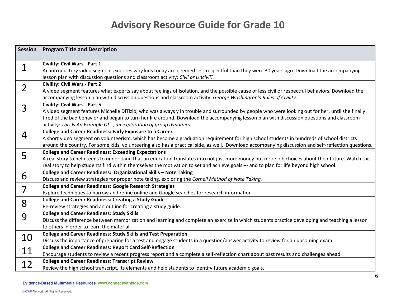### **Advisory Resource Guide for Grade 10**

| <b>Session</b> | <b>Program Title and Description</b>                                                                                                                |
|----------------|-----------------------------------------------------------------------------------------------------------------------------------------------------|
|                | <b>Civility: Civil Wars - Part 1</b>                                                                                                                |
| 1              | An introductory video segment explores why kids today are deemed less respectful than they were 30 years ago. Download the accompanying             |
|                | lesson plan with discussion questions and classroom activity: Civil or Uncivil?                                                                     |
| $\overline{2}$ | <b>Civility: Civil Wars - Part 2</b>                                                                                                                |
|                | A video segment features what experts say about feelings of isolation, and the possible cause of less civil or respectful behaviors. Download the   |
|                | accompanying lesson plan with discussion questions and classroom activity: George Washington's Rules of Civility.                                   |
| 3              | <b>Civility: Civil Wars - Part 5</b>                                                                                                                |
|                | A video segment features Michelle DiTizio, who was always y in trouble and surrounded by people who were looking out for her, until she finally     |
|                | tired of the bad behavior and began to turn her life around. Download the accompanying lesson plan with discussion questions and classroom          |
|                | activity: This Is An Example Of, an exploration of group dynamics.<br><b>College and Career Readiness: Early Exposure to a Career</b>               |
| 4              | A short video segment on volunteerism, which has become a graduation requirement for high school students in hundreds of school districts           |
|                | around the country. For some kids, volunteering also has a practical side, as well. Download accompanying discussion and self-reflection questions. |
|                | <b>College and Career Readiness: Exceeding Expectations</b>                                                                                         |
| 5              | A real story to help teens to understand that an education translates into not just more money but more job choices about their future. Watch this  |
|                | real story to help students find within themselves the motivation to set and achieve goals -- and to plan for life beyond high school.              |
| 6              | College and Career Readiness: Organizational Skills - Note Taking                                                                                   |
|                | Discuss and review strategies for proper note taking, exploring the Cornell Method of Note Taking.                                                  |
| 7              | <b>College and Career Readiness: Google Research Strategies</b>                                                                                     |
|                | Explore techniques to narrow and refine online and Google searches for research information.                                                        |
| 8              | <b>College and Career Readiness: Creating a Study Guide</b>                                                                                         |
|                | Re-review strategies and an outline for creating a study guide.<br><b>College and Career Readiness: Study Skills</b>                                |
| 9              | Discuss the difference between memorization and learning and complete an exercise in which students practice developing and teaching a lesson       |
|                | to others in order to learn the material.                                                                                                           |
|                | <b>College and Career Readiness: Study Skills and Test Preparation</b>                                                                              |
| 10             | Discuss the importance of preparing for a test and engage students in a question/answer activity to review for an upcoming exam.                    |
|                | <b>College and Career Readiness: Report Card Self-Reflection</b>                                                                                    |
| 11             | Encourage students to review a recent progress report and a complete a self-reflection chart about past results and challenges ahead.               |
| 12             | <b>College and Career Readiness: Transcript Review</b>                                                                                              |
|                | Review the high school transcript, its elements and help students to identify future academic goals.                                                |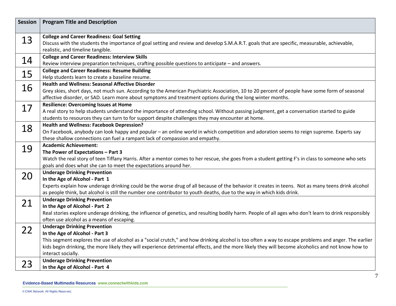| <b>Session</b> | <b>Program Title and Description</b>                                                                                                                                                             |
|----------------|--------------------------------------------------------------------------------------------------------------------------------------------------------------------------------------------------|
|                |                                                                                                                                                                                                  |
| 13             | <b>College and Career Readiness: Goal Setting</b><br>Discuss with the students the importance of goal setting and review and develop S.M.A.R.T. goals that are specific, measurable, achievable, |
|                | realistic, and timeline tangible.                                                                                                                                                                |
|                | <b>College and Career Readiness: Interview Skills</b>                                                                                                                                            |
| 14             | Review interview preparation techniques, crafting possible questions to anticipate - and answers.                                                                                                |
|                | <b>College and Career Readiness: Resume Building</b>                                                                                                                                             |
| 15             | Help students learn to create a baseline resume.                                                                                                                                                 |
|                | <b>Health and Wellness: Seasonal Affective Disorder</b>                                                                                                                                          |
| 16             | Grey skies, short days, not much sun. According to the American Psychiatric Association, 10 to 20 percent of people have some form of seasonal                                                   |
|                | affective disorder, or SAD. Learn more about symptoms and treatment options during the long winter months.                                                                                       |
|                | <b>Resilience: Overcoming Issues at Home</b>                                                                                                                                                     |
| 17             | A real story to help students understand the importance of attending school. Without passing judgment, get a conversation started to guide                                                       |
|                | students to resources they can turn to for support despite challenges they may encounter at home.                                                                                                |
| 18             | <b>Health and Wellness: Facebook Depression?</b>                                                                                                                                                 |
|                | On Facebook, anybody can look happy and popular - an online world in which competition and adoration seems to reign supreme. Experts say                                                         |
|                | these shallow connections can fuel a rampant lack of compassion and empathy.                                                                                                                     |
| 19             | <b>Academic Achievement:</b>                                                                                                                                                                     |
|                | The Power of Expectations - Part 3                                                                                                                                                               |
|                | Watch the real story of teen Tiffany Harris. After a mentor comes to her rescue, she goes from a student getting F's in class to someone who sets                                                |
|                | goals and does what she can to meet the expectations around her.<br><b>Underage Drinking Prevention</b>                                                                                          |
| 20             | In the Age of Alcohol - Part 1                                                                                                                                                                   |
|                | Experts explain how underage drinking could be the worse drug of all because of the behavior it creates in teens. Not as many teens drink alcohol                                                |
|                | as people think, but alcohol is still the number one contributor to youth deaths, due to the way in which kids drink.                                                                            |
|                | <b>Underage Drinking Prevention</b>                                                                                                                                                              |
| 21             | In the Age of Alcohol - Part 2                                                                                                                                                                   |
|                | Real stories explore underage drinking, the influence of genetics, and resulting bodily harm. People of all ages who don't learn to drink responsibly                                            |
|                | often use alcohol as a means of escaping.                                                                                                                                                        |
| 22             | <b>Underage Drinking Prevention</b>                                                                                                                                                              |
|                | In the Age of Alcohol - Part 3                                                                                                                                                                   |
|                | This segment explores the use of alcohol as a "social crutch," and how drinking alcohol is too often a way to escape problems and anger. The earlier                                             |
|                | kids begin drinking, the more likely they will experience detrimental effects, and the more likely they will become alcoholics and not know how to                                               |
|                | interact socially.                                                                                                                                                                               |
| 23             | <b>Underage Drinking Prevention</b>                                                                                                                                                              |
|                | In the Age of Alcohol - Part 4                                                                                                                                                                   |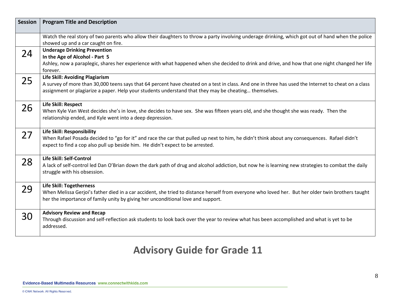| <b>Session</b> | <b>Program Title and Description</b>                                                                                                                                                                                                                                                            |
|----------------|-------------------------------------------------------------------------------------------------------------------------------------------------------------------------------------------------------------------------------------------------------------------------------------------------|
|                | Watch the real story of two parents who allow their daughters to throw a party involving underage drinking, which got out of hand when the police<br>showed up and a car caught on fire.                                                                                                        |
| 24             | <b>Underage Drinking Prevention</b><br>In the Age of Alcohol - Part 5<br>Ashley, now a paraplegic, shares her experience with what happened when she decided to drink and drive, and how that one night changed her life<br>forever.                                                            |
| 25             | Life Skill: Avoiding Plagiarism<br>A survey of more than 30,000 teens says that 64 percent have cheated on a test in class. And one in three has used the Internet to cheat on a class<br>assignment or plagiarize a paper. Help your students understand that they may be cheating themselves. |
| 26             | Life Skill: Respect<br>When Kyle Van West decides she's in love, she decides to have sex. She was fifteen years old, and she thought she was ready. Then the<br>relationship ended, and Kyle went into a deep depression.                                                                       |
| 27             | Life Skill: Responsibility<br>When Rafael Posada decided to "go for it" and race the car that pulled up next to him, he didn't think about any consequences. Rafael didn't<br>expect to find a cop also pull up beside him. He didn't expect to be arrested.                                    |
| 28             | Life Skill: Self-Control<br>A lack of self-control led Dan O'Brian down the dark path of drug and alcohol addiction, but now he is learning new strategies to combat the daily<br>struggle with his obsession.                                                                                  |
| 29             | Life Skill: Togetherness<br>When Melissa Gerjoi's father died in a car accident, she tried to distance herself from everyone who loved her. But her older twin brothers taught<br>her the importance of family unity by giving her unconditional love and support.                              |
| 30             | <b>Advisory Review and Recap</b><br>Through discussion and self-reflection ask students to look back over the year to review what has been accomplished and what is yet to be<br>addressed.                                                                                                     |

# **Advisory Guide for Grade 11**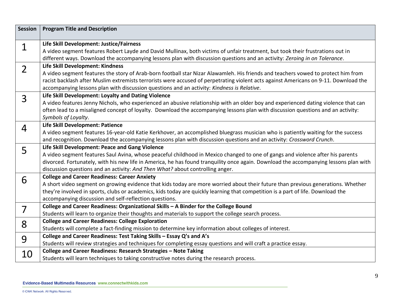| <b>Session</b> | <b>Program Title and Description</b>                                                                                                                                                        |
|----------------|---------------------------------------------------------------------------------------------------------------------------------------------------------------------------------------------|
|                | Life Skill Development: Justice/Fairness                                                                                                                                                    |
| 1              | A video segment features Robert Layde and David Mullinax, both victims of unfair treatment, but took their frustrations out in                                                              |
|                | different ways. Download the accompanying lessons plan with discussion questions and an activity: Zeroing in on Tolerance.                                                                  |
|                | Life Skill Development: Kindness                                                                                                                                                            |
| $\overline{2}$ | A video segment features the story of Arab-born football star Nizar Alawamleh. His friends and teachers vowed to protect him from                                                           |
|                | racist backlash after Muslim extremists terrorists were accused of perpetrating violent acts against Americans on 9-11. Download the                                                        |
|                | accompanying lessons plan with discussion questions and an activity: Kindness is Relative.                                                                                                  |
|                | Life Skill Development: Loyalty and Dating Violence                                                                                                                                         |
| 3              | A video features Jenny Nichols, who experienced an abusive relationship with an older boy and experienced dating violence that can                                                          |
|                | often lead to a misaligned concept of loyalty. Download the accompanying lessons plan with discussion questions and an activity:                                                            |
|                | Symbols of Loyalty.                                                                                                                                                                         |
|                | Life Skill Development: Patience                                                                                                                                                            |
| 4              | A video segment features 16-year-old Katie Kerkhover, an accomplished bluegrass musician who is patiently waiting for the success                                                           |
|                | and recognition. Download the accompanying lessons plan with discussion questions and an activity: Crossword Crunch.                                                                        |
| 5              | Life Skill Development: Peace and Gang Violence                                                                                                                                             |
|                | A video segment features Saul Avina, whose peaceful childhood in Mexico changed to one of gangs and violence after his parents                                                              |
|                | divorced. Fortunately, with his new life in America, he has found tranquility once again. Download the accompanying lessons plan with                                                       |
|                | discussion questions and an activity: And Then What? about controlling anger.                                                                                                               |
| 6              | <b>College and Career Readiness: Career Anxiety</b>                                                                                                                                         |
|                | A short video segment on growing evidence that kids today are more worried about their future than previous generations. Whether                                                            |
|                | they're involved in sports, clubs or academics, kids today are quickly learning that competition is a part of life. Download the                                                            |
|                | accompanying discussion and self-reflection questions.                                                                                                                                      |
| 7              | College and Career Readiness: Organizational Skills - A Binder for the College Bound<br>Students will learn to organize their thoughts and materials to support the college search process. |
|                | <b>College and Career Readiness: College Exploration</b>                                                                                                                                    |
| 8              | Students will complete a fact-finding mission to determine key information about colleges of interest.                                                                                      |
|                | College and Career Readiness: Test Taking Skills - Essay Q's and A's                                                                                                                        |
| 9              | Students will review strategies and techniques for completing essay questions and will craft a practice essay.                                                                              |
|                | College and Career Readiness: Research Strategies - Note Taking                                                                                                                             |
| 10             | Students will learn techniques to taking constructive notes during the research process.                                                                                                    |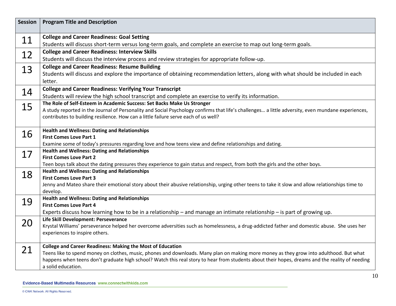| <b>Session</b> | <b>Program Title and Description</b>                                                                                                                                                  |
|----------------|---------------------------------------------------------------------------------------------------------------------------------------------------------------------------------------|
| 11             | <b>College and Career Readiness: Goal Setting</b>                                                                                                                                     |
|                | Students will discuss short-term versus long-term goals, and complete an exercise to map out long-term goals.                                                                         |
| 12             | <b>College and Career Readiness: Interview Skills</b>                                                                                                                                 |
|                | Students will discuss the interview process and review strategies for appropriate follow-up.                                                                                          |
| 13             | <b>College and Career Readiness: Resume Building</b>                                                                                                                                  |
|                | Students will discuss and explore the importance of obtaining recommendation letters, along with what should be included in each                                                      |
|                | letter.                                                                                                                                                                               |
| 14             | <b>College and Career Readiness: Verifying Your Transcript</b>                                                                                                                        |
|                | Students will review the high school transcript and complete an exercise to verify its information.                                                                                   |
| 15             | The Role of Self-Esteem in Academic Success: Set Backs Make Us Stronger                                                                                                               |
|                | A study reported in the Journal of Personality and Social Psychology confirms that life's challenges a little adversity, even mundane experiences,                                    |
|                | contributes to building resilience. How can a little failure serve each of us well?                                                                                                   |
|                | <b>Health and Wellness: Dating and Relationships</b>                                                                                                                                  |
| 16             | <b>First Comes Love Part 1</b>                                                                                                                                                        |
|                | Examine some of today's pressures regarding love and how teens view and define relationships and dating.                                                                              |
| 17             | <b>Health and Wellness: Dating and Relationships</b>                                                                                                                                  |
|                | <b>First Comes Love Part 2</b>                                                                                                                                                        |
|                | Teen boys talk about the dating pressures they experience to gain status and respect, from both the girls and the other boys.<br><b>Health and Wellness: Dating and Relationships</b> |
| 18             | <b>First Comes Love Part 3</b>                                                                                                                                                        |
|                | Jenny and Mateo share their emotional story about their abusive relationship, urging other teens to take it slow and allow relationships time to                                      |
|                | develop.                                                                                                                                                                              |
|                | <b>Health and Wellness: Dating and Relationships</b>                                                                                                                                  |
| 19             | <b>First Comes Love Part 4</b>                                                                                                                                                        |
|                | Experts discuss how learning how to be in a relationship - and manage an intimate relationship - is part of growing up.                                                               |
| 20             | Life Skill Development: Perseverance                                                                                                                                                  |
|                | Krystal Williams' perseverance helped her overcome adversities such as homelessness, a drug-addicted father and domestic abuse. She uses her                                          |
|                | experiences to inspire others.                                                                                                                                                        |
|                | <b>College and Career Readiness: Making the Most of Education</b>                                                                                                                     |
| 21             | Teens like to spend money on clothes, music, phones and downloads. Many plan on making more money as they grow into adulthood. But what                                               |
|                | happens when teens don't graduate high school? Watch this real story to hear from students about their hopes, dreams and the reality of needing                                       |
|                | a solid education.                                                                                                                                                                    |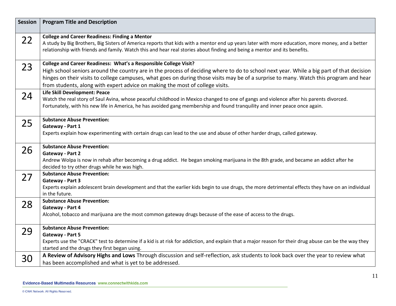| <b>Session</b> | <b>Program Title and Description</b>                                                                                                                                                                                                                                                                                                                                                                                                     |
|----------------|------------------------------------------------------------------------------------------------------------------------------------------------------------------------------------------------------------------------------------------------------------------------------------------------------------------------------------------------------------------------------------------------------------------------------------------|
| 22             | <b>College and Career Readiness: Finding a Mentor</b><br>A study by Big Brothers, Big Sisters of America reports that kids with a mentor end up years later with more education, more money, and a better<br>relationship with friends and family. Watch this and hear real stories about finding and being a mentor and its benefits.                                                                                                   |
| 23             | College and Career Readiness: What's a Responsible College Visit?<br>High school seniors around the country are in the process of deciding where to do to school next year. While a big part of that decision<br>hinges on their visits to college campuses, what goes on during those visits may be of a surprise to many. Watch this program and hear<br>from students, along with expert advice on making the most of college visits. |
| 24             | Life Skill Development: Peace<br>Watch the real story of Saul Avina, whose peaceful childhood in Mexico changed to one of gangs and violence after his parents divorced.<br>Fortunately, with his new life in America, he has avoided gang membership and found tranquility and inner peace once again.                                                                                                                                  |
| 25             | <b>Substance Abuse Prevention:</b><br>Gateway - Part 1<br>Experts explain how experimenting with certain drugs can lead to the use and abuse of other harder drugs, called gateway.                                                                                                                                                                                                                                                      |
| 26             | <b>Substance Abuse Prevention:</b><br><b>Gateway - Part 2</b><br>Andrew Wolpa is now in rehab after becoming a drug addict. He began smoking marijuana in the 8th grade, and became an addict after he<br>decided to try other drugs while he was high.                                                                                                                                                                                  |
| 27             | <b>Substance Abuse Prevention:</b><br><b>Gateway - Part 3</b><br>Experts explain adolescent brain development and that the earlier kids begin to use drugs, the more detrimental effects they have on an individual<br>in the future.                                                                                                                                                                                                    |
| 28             | <b>Substance Abuse Prevention:</b><br>Gateway - Part 4<br>Alcohol, tobacco and marijuana are the most common gateway drugs because of the ease of access to the drugs.                                                                                                                                                                                                                                                                   |
| 29             | <b>Substance Abuse Prevention:</b><br>Gateway - Part 5<br>Experts use the "CRACK" test to determine if a kid is at risk for addiction, and explain that a major reason for their drug abuse can be the way they<br>started and the drugs they first began using.                                                                                                                                                                         |
| 30             | A Review of Advisory Highs and Lows Through discussion and self-reflection, ask students to look back over the year to review what<br>has been accomplished and what is yet to be addressed.                                                                                                                                                                                                                                             |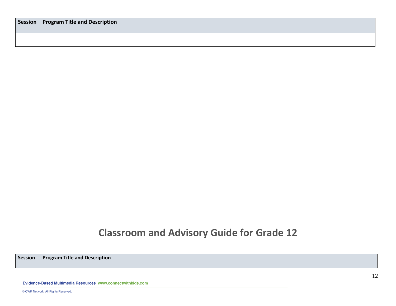| Session   Program Title and Description |
|-----------------------------------------|
|                                         |
|                                         |
|                                         |

#### **Classroom and Advisory Guide for Grade 12**

**Session Program Title and Description**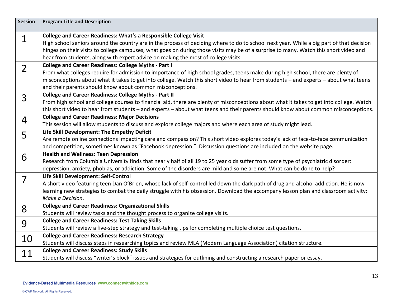| <b>Session</b> | <b>Program Title and Description</b>                                                                                                     |
|----------------|------------------------------------------------------------------------------------------------------------------------------------------|
| $\mathbf 1$    | College and Career Readiness: What's a Responsible College Visit                                                                         |
|                | High school seniors around the country are in the process of deciding where to do to school next year. While a big part of that decision |
|                | hinges on their visits to college campuses, what goes on during those visits may be of a surprise to many. Watch this short video and    |
|                | hear from students, along with expert advice on making the most of college visits.                                                       |
| $\overline{2}$ | <b>College and Career Readiness: College Myths - Part I</b>                                                                              |
|                | From what colleges require for admission to importance of high school grades, teens make during high school, there are plenty of         |
|                | misconceptions about what it takes to get into college. Watch this short video to hear from students - and experts - about what teens    |
|                | and their parents should know about common misconceptions.                                                                               |
| 3              | <b>College and Career Readiness: College Myths - Part II</b>                                                                             |
|                | From high school and college courses to financial aid, there are plenty of misconceptions about what it takes to get into college. Watch |
|                | this short video to hear from students - and experts - about what teens and their parents should know about common misconceptions.       |
| 4              | <b>College and Career Readiness: Major Decisions</b>                                                                                     |
|                | This session will allow students to discuss and explore college majors and where each area of study might lead.                          |
| 5              | Life Skill Development: The Empathy Deficit                                                                                              |
|                | Are remote online connections impacting care and compassion? This short video explores today's lack of face-to-face communication        |
|                | and competition, sometimes known as "Facebook depression." Discussion questions are included on the website page.                        |
| 6              | <b>Health and Wellness: Teen Depression</b>                                                                                              |
|                | Research from Columbia University finds that nearly half of all 19 to 25 year olds suffer from some type of psychiatric disorder:        |
|                | depression, anxiety, phobias, or addiction. Some of the disorders are mild and some are not. What can be done to help?                   |
| 7              | Life Skill Development: Self-Control                                                                                                     |
|                | A short video featuring teen Dan O'Brien, whose lack of self-control led down the dark path of drug and alcohol addiction. He is now     |
|                | learning new strategies to combat the daily struggle with his obsession. Download the accompany lesson plan and classroom activity:      |
|                | Make a Decision.                                                                                                                         |
| 8              | <b>College and Career Readiness: Organizational Skills</b>                                                                               |
|                | Students will review tasks and the thought process to organize college visits.                                                           |
| 9              | <b>College and Career Readiness: Test Taking Skills</b>                                                                                  |
|                | Students will review a five-step strategy and test-taking tips for completing multiple choice test questions.                            |
| 10             | <b>College and Career Readiness: Research Strategy</b>                                                                                   |
|                | Students will discuss steps in researching topics and review MLA (Modern Language Association) citation structure.                       |
| 11             | <b>College and Career Readiness: Study Skills</b>                                                                                        |
|                | Students will discuss "writer's block" issues and strategies for outlining and constructing a research paper or essay.                   |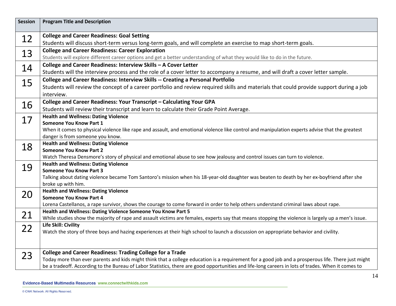| <b>Session</b> | <b>Program Title and Description</b>                                                                                                                                       |
|----------------|----------------------------------------------------------------------------------------------------------------------------------------------------------------------------|
| 12             | <b>College and Career Readiness: Goal Setting</b>                                                                                                                          |
|                | Students will discuss short-term versus long-term goals, and will complete an exercise to map short-term goals.                                                            |
| 13             | <b>College and Career Readiness: Career Exploration</b>                                                                                                                    |
|                | Students will explore different career options and get a better understanding of what they would like to do in the future.                                                 |
| 14             | College and Career Readiness: Interview Skills - A Cover Letter                                                                                                            |
|                | Students will the interview process and the role of a cover letter to accompany a resume, and will draft a cover letter sample.                                            |
| 15             | College and Career Readiness: Interview Skills -- Creating a Personal Portfolio                                                                                            |
|                | Students will review the concept of a career portfolio and review required skills and materials that could provide support during a job                                    |
|                | interview.                                                                                                                                                                 |
| 16             | College and Career Readiness: Your Transcript - Calculating Your GPA                                                                                                       |
|                | Students will review their transcript and learn to calculate their Grade Point Average.                                                                                    |
| 17             | <b>Health and Wellness: Dating Violence</b>                                                                                                                                |
|                | <b>Someone You Know Part 1</b>                                                                                                                                             |
|                | When it comes to physical violence like rape and assault, and emotional violence like control and manipulation experts advise that the greatest                            |
|                | danger is from someone you know.                                                                                                                                           |
| 18             | <b>Health and Wellness: Dating Violence</b>                                                                                                                                |
|                | <b>Someone You Know Part 2</b>                                                                                                                                             |
|                | Watch Theresa Densmore's story of physical and emotional abuse to see how jealousy and control issues can turn to violence.<br><b>Health and Wellness: Dating Violence</b> |
| 19             | <b>Someone You Know Part 3</b>                                                                                                                                             |
|                | Talking about dating violence became Tom Santoro's mission when his 18-year-old daughter was beaten to death by her ex-boyfriend after she                                 |
|                | broke up with him.                                                                                                                                                         |
|                | <b>Health and Wellness: Dating Violence</b>                                                                                                                                |
| 20             | <b>Someone You Know Part 4</b>                                                                                                                                             |
|                | Lorena Castellanos, a rape survivor, shows the courage to come forward in order to help others understand criminal laws about rape.                                        |
| 21             | Health and Wellness: Dating Violence Someone You Know Part 5                                                                                                               |
|                | While studies show the majority of rape and assault victims are females, experts say that means stopping the violence is largely up a men's issue.                         |
| 22             | Life Skill: Civility                                                                                                                                                       |
|                | Watch the story of three boys and hazing experiences at their high school to launch a discussion on appropriate behavior and civility.                                     |
|                |                                                                                                                                                                            |
|                | <b>College and Career Readiness: Trading College for a Trade</b>                                                                                                           |
| 23             | Today more than ever parents and kids might think that a college education is a requirement for a good job and a prosperous life. There just might                         |
|                | be a tradeoff. According to the Bureau of Labor Statistics, there are good opportunities and life-long careers in lots of trades. When it comes to                         |